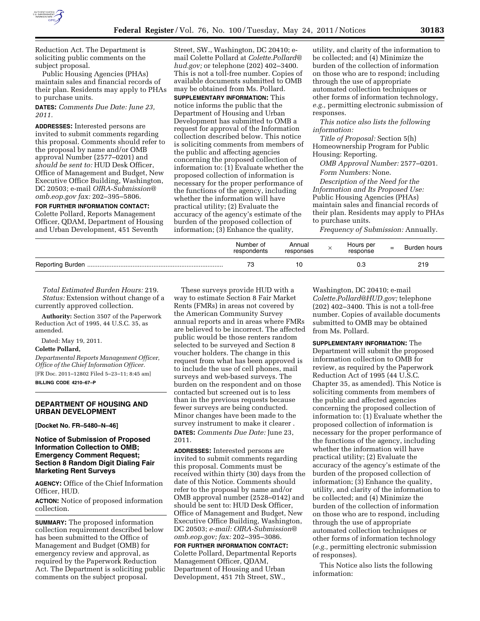

Reduction Act. The Department is soliciting public comments on the subject proposal.

Public Housing Agencies (PHAs) maintain sales and financial records of their plan. Residents may apply to PHAs to purchase units.

**DATES:** *Comments Due Date: June 23, 2011.* 

**ADDRESSES:** Interested persons are invited to submit comments regarding this proposal. Comments should refer to the proposal by name and/or OMB approval Number (2577–0201) and *should be sent to:* HUD Desk Officer, Office of Management and Budget, New Executive Office Building, Washington, DC 20503; e-mail *[OIRA-Submission@](mailto:OIRA-Submission@omb.eop.gov) [omb.eop.gov](mailto:OIRA-Submission@omb.eop.gov) fax:* 202–395–5806.

**FOR FURTHER INFORMATION CONTACT:**  Colette Pollard, Reports Management Officer, QDAM, Department of Housing and Urban Development, 451 Seventh

Street, SW., Washington, DC 20410; email Colette Pollard at *[Colette.Pollard@](mailto:Colette.Pollard@hud.gov) [hud.gov;](mailto:Colette.Pollard@hud.gov)* or telephone (202) 402–3400. This is not a toll-free number. Copies of available documents submitted to OMB may be obtained from Ms. Pollard.

**SUPPLEMENTARY INFORMATION:** This notice informs the public that the Department of Housing and Urban Development has submitted to OMB a request for approval of the Information collection described below. This notice is soliciting comments from members of the public and affecting agencies concerning the proposed collection of information to: (1) Evaluate whether the proposed collection of information is necessary for the proper performance of the functions of the agency, including whether the information will have practical utility; (2) Evaluate the accuracy of the agency's estimate of the burden of the proposed collection of information; (3) Enhance the quality,

utility, and clarity of the information to be collected; and (4) Minimize the burden of the collection of information on those who are to respond; including through the use of appropriate automated collection techniques or other forms of information technology, *e.g.,* permitting electronic submission of responses.

*This notice also lists the following information:* 

*Title of Proposal:* Section 5(h) Homeownership Program for Public Housing: Reporting.

*OMB Approval Number:* 2577–0201. *Form Numbers:* None.

*Description of the Need for the Information and Its Proposed Use:*  Public Housing Agencies (PHAs) maintain sales and financial records of their plan. Residents may apply to PHAs to purchase units.

*Frequency of Submission:* Annually.

| Number of<br>respondents | Annual<br>responses | Hours per<br>response | = | Burden hours |
|--------------------------|---------------------|-----------------------|---|--------------|
|                          |                     |                       |   | 219          |

*Total Estimated Burden Hours:* 219. *Status:* Extension without change of a currently approved collection.

**Authority:** Section 3507 of the Paperwork Reduction Act of 1995, 44 U.S.C. 35, as amended.

Dated: May 19, 2011.

#### **Colette Pollard,**

*Departmental Reports Management Officer, Office of the Chief Information Officer.*  [FR Doc. 2011–12802 Filed 5–23–11; 8:45 am] **BILLING CODE 4210–67–P** 

#### **DEPARTMENT OF HOUSING AND URBAN DEVELOPMENT**

**[Docket No. FR–5480–N–46]** 

## **Notice of Submission of Proposed Information Collection to OMB; Emergency Comment Request; Section 8 Random Digit Dialing Fair Marketing Rent Surveys**

**AGENCY:** Office of the Chief Information Officer, HUD.

**ACTION:** Notice of proposed information collection.

**SUMMARY:** The proposed information collection requirement described below has been submitted to the Office of Management and Budget (OMB) for emergency review and approval, as required by the Paperwork Reduction Act. The Department is soliciting public comments on the subject proposal.

These surveys provide HUD with a way to estimate Section 8 Fair Market Rents (FMRs) in areas not covered by the American Community Survey annual reports and in areas where FMRs are believed to be incorrect. The affected public would be those renters random selected to be surveyed and Section 8 voucher holders. The change in this request from what has been approved is to include the use of cell phones, mail surveys and web-based surveys. The burden on the respondent and on those contacted but screened out is to less than in the previous requests because fewer surveys are being conducted. Minor changes have been made to the survey instrument to make it clearer . **DATES:** *Comments Due Date:* June 23, 2011.

**ADDRESSES:** Interested persons are invited to submit comments regarding this proposal. Comments must be received within thirty (30) days from the date of this Notice. Comments should refer to the proposal by name and/or OMB approval number (2528–0142) and should be sent to: HUD Desk Officer, Office of Management and Budget, New Executive Office Building, Washington, DC 20503; *e-mail: [OIRA-Submission@](mailto:OIRA-Submission@omb.eop.gov) [omb.eop.gov;](mailto:OIRA-Submission@omb.eop.gov) fax:* 202–395–3086.

**FOR FURTHER INFORMATION CONTACT:**  Colette Pollard, Departmental Reports Management Officer, QDAM, Department of Housing and Urban Development, 451 7th Street, SW.,

Washington, DC 20410; e-mail *[Colette.Pollard@HUD.gov;](mailto:Colette.Pollard@HUD.gov)* telephone (202) 402–3400. This is not a toll-free number. Copies of available documents submitted to OMB may be obtained from Ms. Pollard.

**SUPPLEMENTARY INFORMATION:** The Department will submit the proposed information collection to OMB for review, as required by the Paperwork Reduction Act of 1995 (44 U.S.C. Chapter 35, as amended). This Notice is soliciting comments from members of the public and affected agencies concerning the proposed collection of information to: (1) Evaluate whether the proposed collection of information is necessary for the proper performance of the functions of the agency, including whether the information will have practical utility; (2) Evaluate the accuracy of the agency's estimate of the burden of the proposed collection of information; (3) Enhance the quality, utility, and clarity of the information to be collected; and (4) Minimize the burden of the collection of information on those who are to respond, including through the use of appropriate automated collection techniques or other forms of information technology (*e.g.,* permitting electronic submission of responses).

This Notice also lists the following information: